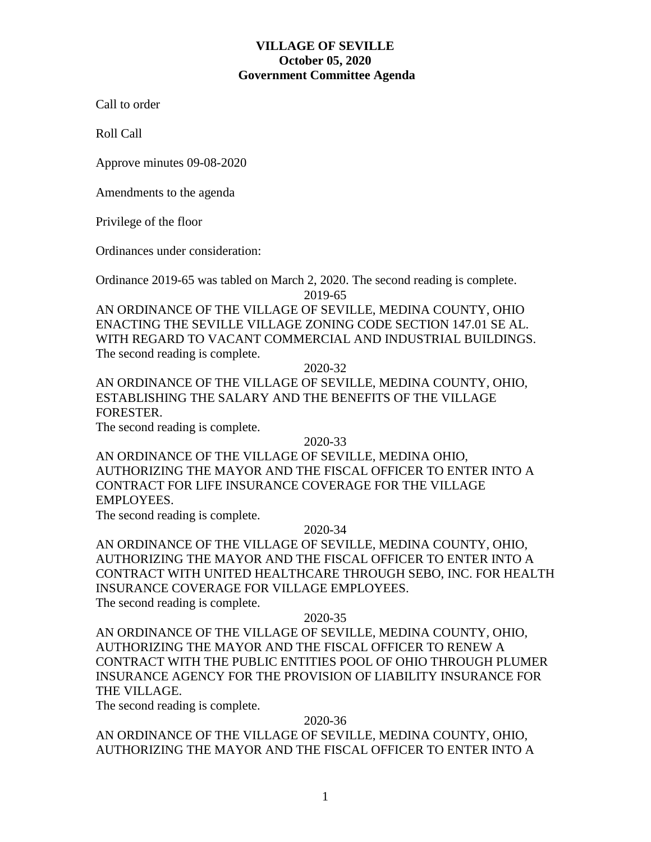Call to order

Roll Call

Approve minutes 09-08-2020

Amendments to the agenda

Privilege of the floor

Ordinances under consideration:

Ordinance 2019-65 was tabled on March 2, 2020. The second reading is complete. 2019-65

AN ORDINANCE OF THE VILLAGE OF SEVILLE, MEDINA COUNTY, OHIO ENACTING THE SEVILLE VILLAGE ZONING CODE SECTION 147.01 SE AL. WITH REGARD TO VACANT COMMERCIAL AND INDUSTRIAL BUILDINGS. The second reading is complete.

2020-32

AN ORDINANCE OF THE VILLAGE OF SEVILLE, MEDINA COUNTY, OHIO, ESTABLISHING THE SALARY AND THE BENEFITS OF THE VILLAGE FORESTER.

The second reading is complete.

2020-33

AN ORDINANCE OF THE VILLAGE OF SEVILLE, MEDINA OHIO, AUTHORIZING THE MAYOR AND THE FISCAL OFFICER TO ENTER INTO A CONTRACT FOR LIFE INSURANCE COVERAGE FOR THE VILLAGE EMPLOYEES.

The second reading is complete.

# 2020-34

AN ORDINANCE OF THE VILLAGE OF SEVILLE, MEDINA COUNTY, OHIO, AUTHORIZING THE MAYOR AND THE FISCAL OFFICER TO ENTER INTO A CONTRACT WITH UNITED HEALTHCARE THROUGH SEBO, INC. FOR HEALTH INSURANCE COVERAGE FOR VILLAGE EMPLOYEES.

The second reading is complete.

# 2020-35

AN ORDINANCE OF THE VILLAGE OF SEVILLE, MEDINA COUNTY, OHIO, AUTHORIZING THE MAYOR AND THE FISCAL OFFICER TO RENEW A CONTRACT WITH THE PUBLIC ENTITIES POOL OF OHIO THROUGH PLUMER INSURANCE AGENCY FOR THE PROVISION OF LIABILITY INSURANCE FOR THE VILLAGE.

The second reading is complete.

# 2020-36

AN ORDINANCE OF THE VILLAGE OF SEVILLE, MEDINA COUNTY, OHIO, AUTHORIZING THE MAYOR AND THE FISCAL OFFICER TO ENTER INTO A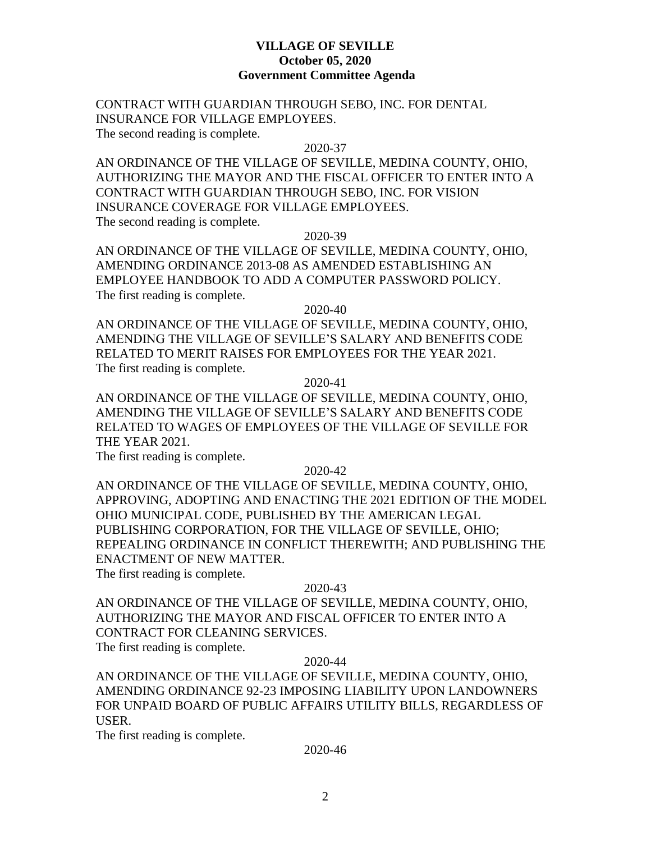CONTRACT WITH GUARDIAN THROUGH SEBO, INC. FOR DENTAL INSURANCE FOR VILLAGE EMPLOYEES.

The second reading is complete.

#### 2020-37

AN ORDINANCE OF THE VILLAGE OF SEVILLE, MEDINA COUNTY, OHIO, AUTHORIZING THE MAYOR AND THE FISCAL OFFICER TO ENTER INTO A CONTRACT WITH GUARDIAN THROUGH SEBO, INC. FOR VISION INSURANCE COVERAGE FOR VILLAGE EMPLOYEES. The second reading is complete.

2020-39

AN ORDINANCE OF THE VILLAGE OF SEVILLE, MEDINA COUNTY, OHIO, AMENDING ORDINANCE 2013-08 AS AMENDED ESTABLISHING AN EMPLOYEE HANDBOOK TO ADD A COMPUTER PASSWORD POLICY. The first reading is complete.

2020-40

AN ORDINANCE OF THE VILLAGE OF SEVILLE, MEDINA COUNTY, OHIO, AMENDING THE VILLAGE OF SEVILLE'S SALARY AND BENEFITS CODE RELATED TO MERIT RAISES FOR EMPLOYEES FOR THE YEAR 2021. The first reading is complete.

2020-41

AN ORDINANCE OF THE VILLAGE OF SEVILLE, MEDINA COUNTY, OHIO, AMENDING THE VILLAGE OF SEVILLE'S SALARY AND BENEFITS CODE RELATED TO WAGES OF EMPLOYEES OF THE VILLAGE OF SEVILLE FOR THE YEAR 2021.

The first reading is complete.

2020-42

AN ORDINANCE OF THE VILLAGE OF SEVILLE, MEDINA COUNTY, OHIO, APPROVING, ADOPTING AND ENACTING THE 2021 EDITION OF THE MODEL OHIO MUNICIPAL CODE, PUBLISHED BY THE AMERICAN LEGAL PUBLISHING CORPORATION, FOR THE VILLAGE OF SEVILLE, OHIO; REPEALING ORDINANCE IN CONFLICT THEREWITH; AND PUBLISHING THE ENACTMENT OF NEW MATTER.

The first reading is complete.

#### 2020-43

AN ORDINANCE OF THE VILLAGE OF SEVILLE, MEDINA COUNTY, OHIO, AUTHORIZING THE MAYOR AND FISCAL OFFICER TO ENTER INTO A CONTRACT FOR CLEANING SERVICES.

The first reading is complete.

# 2020-44

AN ORDINANCE OF THE VILLAGE OF SEVILLE, MEDINA COUNTY, OHIO, AMENDING ORDINANCE 92-23 IMPOSING LIABILITY UPON LANDOWNERS FOR UNPAID BOARD OF PUBLIC AFFAIRS UTILITY BILLS, REGARDLESS OF USER.

The first reading is complete.

#### 2020-46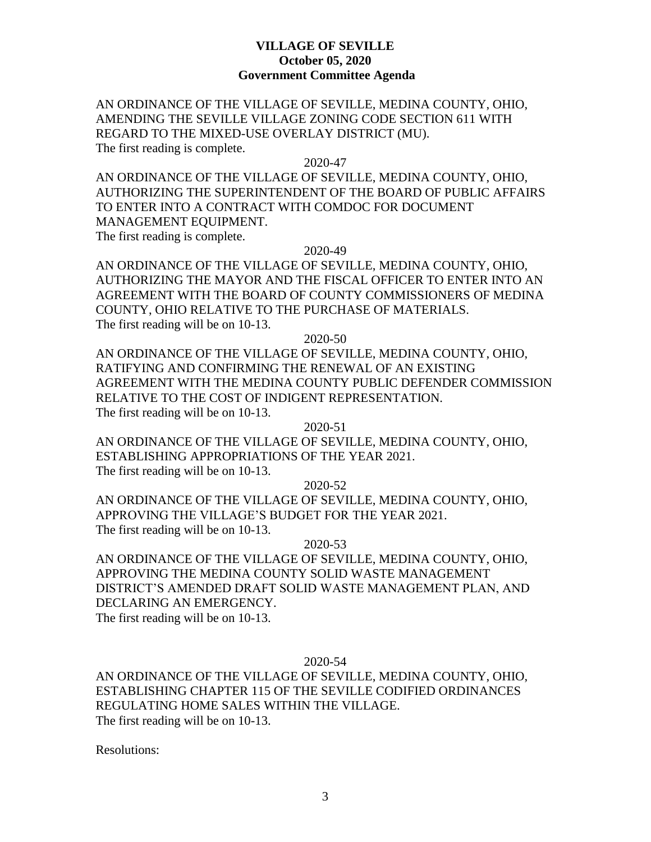AN ORDINANCE OF THE VILLAGE OF SEVILLE, MEDINA COUNTY, OHIO, AMENDING THE SEVILLE VILLAGE ZONING CODE SECTION 611 WITH REGARD TO THE MIXED-USE OVERLAY DISTRICT (MU). The first reading is complete.

2020-47

AN ORDINANCE OF THE VILLAGE OF SEVILLE, MEDINA COUNTY, OHIO, AUTHORIZING THE SUPERINTENDENT OF THE BOARD OF PUBLIC AFFAIRS TO ENTER INTO A CONTRACT WITH COMDOC FOR DOCUMENT MANAGEMENT EQUIPMENT.

The first reading is complete.

2020-49

AN ORDINANCE OF THE VILLAGE OF SEVILLE, MEDINA COUNTY, OHIO, AUTHORIZING THE MAYOR AND THE FISCAL OFFICER TO ENTER INTO AN AGREEMENT WITH THE BOARD OF COUNTY COMMISSIONERS OF MEDINA COUNTY, OHIO RELATIVE TO THE PURCHASE OF MATERIALS. The first reading will be on 10-13.

2020-50

AN ORDINANCE OF THE VILLAGE OF SEVILLE, MEDINA COUNTY, OHIO, RATIFYING AND CONFIRMING THE RENEWAL OF AN EXISTING AGREEMENT WITH THE MEDINA COUNTY PUBLIC DEFENDER COMMISSION RELATIVE TO THE COST OF INDIGENT REPRESENTATION. The first reading will be on 10-13.

2020-51

AN ORDINANCE OF THE VILLAGE OF SEVILLE, MEDINA COUNTY, OHIO, ESTABLISHING APPROPRIATIONS OF THE YEAR 2021.

The first reading will be on 10-13.

2020-52

AN ORDINANCE OF THE VILLAGE OF SEVILLE, MEDINA COUNTY, OHIO, APPROVING THE VILLAGE'S BUDGET FOR THE YEAR 2021. The first reading will be on 10-13.

2020-53

AN ORDINANCE OF THE VILLAGE OF SEVILLE, MEDINA COUNTY, OHIO, APPROVING THE MEDINA COUNTY SOLID WASTE MANAGEMENT DISTRICT'S AMENDED DRAFT SOLID WASTE MANAGEMENT PLAN, AND DECLARING AN EMERGENCY. The first reading will be on 10-13.

2020-54

AN ORDINANCE OF THE VILLAGE OF SEVILLE, MEDINA COUNTY, OHIO, ESTABLISHING CHAPTER 115 OF THE SEVILLE CODIFIED ORDINANCES REGULATING HOME SALES WITHIN THE VILLAGE. The first reading will be on 10-13.

Resolutions: